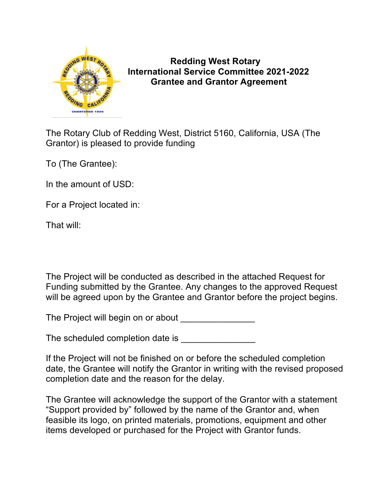

 **Redding West Rotary International Service Committee 2021-2022 Grantee and Grantor Agreement**

The Rotary Club of Redding West, District 5160, California, USA (The Grantor) is pleased to provide funding

To (The Grantee):

In the amount of USD:

For a Project located in:

That will:

The Project will be conducted as described in the attached Request for Funding submitted by the Grantee. Any changes to the approved Request will be agreed upon by the Grantee and Grantor before the project begins.

The Project will begin on or about

The scheduled completion date is

If the Project will not be finished on or before the scheduled completion date, the Grantee will notify the Grantor in writing with the revised proposed completion date and the reason for the delay.

The Grantee will acknowledge the support of the Grantor with a statement "Support provided by" followed by the name of the Grantor and, when feasible its logo, on printed materials, promotions, equipment and other items developed or purchased for the Project with Grantor funds.